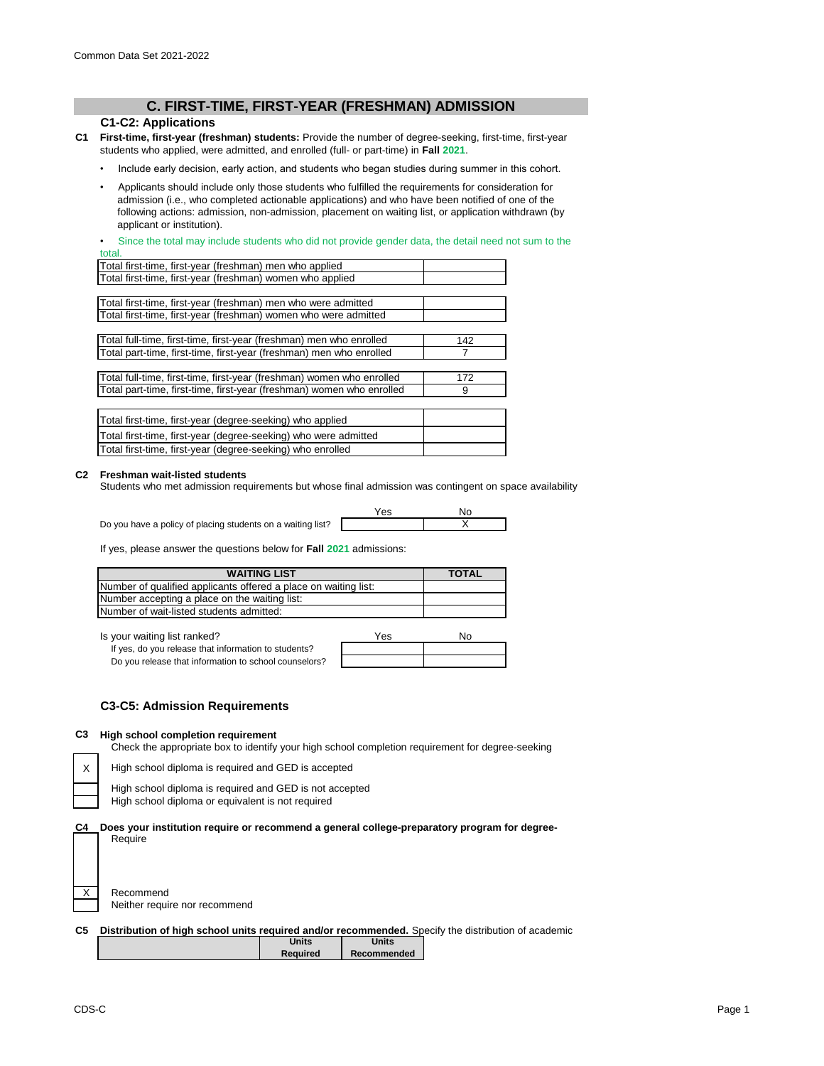# **C. FIRST-TIME, FIRST-YEAR (FRESHMAN) ADMISSION**

## **C1-C2: Applications**

- **C1 First-time, first-year (freshman) students:** Provide the number of degree-seeking, first-time, first-year students who applied, were admitted, and enrolled (full- or part-time) in **Fall 2021**.
	- Include early decision, early action, and students who began studies during summer in this cohort.
	- Applicants should include only those students who fulfilled the requirements for consideration for admission (i.e., who completed actionable applications) and who have been notified of one of the following actions: admission, non-admission, placement on waiting list, or application withdrawn (by applicant or institution).

Since the total may include students who did not provide gender data, the detail need not sum to the total.

| Total first-time, first-year (freshman) men who applied               |     |
|-----------------------------------------------------------------------|-----|
| Total first-time, first-year (freshman) women who applied             |     |
|                                                                       |     |
| Total first-time, first-year (freshman) men who were admitted         |     |
| Total first-time, first-year (freshman) women who were admitted       |     |
|                                                                       |     |
| Total full-time, first-time, first-year (freshman) men who enrolled   | 142 |
| Total part-time, first-time, first-year (freshman) men who enrolled   |     |
|                                                                       |     |
| Total full-time, first-time, first-year (freshman) women who enrolled | 172 |
| Total part-time, first-time, first-year (freshman) women who enrolled | 9   |
|                                                                       |     |
| Total first-time, first-year (degree-seeking) who applied             |     |
| Total first-time, first-year (degree-seeking) who were admitted       |     |
| Total first-time, first-year (degree-seeking) who enrolled            |     |

### **C2 Freshman wait-listed students**

Students who met admission requirements but whose final admission was contingent on space availability

Do you have a policy of placing students on a waiting list?

| $\lambda$<br>Yes | N٥ |
|------------------|----|
|                  |    |

If yes, please answer the questions below for **Fall 2021** admissions:

| <b>WAITING LIST</b>                                             | <b>TOTAL</b> |
|-----------------------------------------------------------------|--------------|
| Number of qualified applicants offered a place on waiting list: |              |
| Number accepting a place on the waiting list:                   |              |
| Number of wait-listed students admitted:                        |              |

Is your waiting list ranked?

| If yes, do you release that information to students?  |  |
|-------------------------------------------------------|--|
| Do you release that information to school counselors? |  |

| Yes | No |
|-----|----|
|     |    |
|     |    |

## **C3-C5: Admission Requirements**

#### **C3 High school completion requirement**

Check the appropriate box to identify your high school completion requirement for degree-seeking

High school diploma is required and GED is accepted

High school diploma is required and GED is not accepted High school diploma or equivalent is not required

**Does your institution require or recommend a general college-preparatory program for degree-**Require

| Recommend                     |
|-------------------------------|
| Neither require nor recommend |

X

**C4**

**C5 Distribution of high school units required and/or recommended.** Specify the distribution of academic

| Units           | <b>Units</b> |
|-----------------|--------------|
| <b>Required</b> | Recommended  |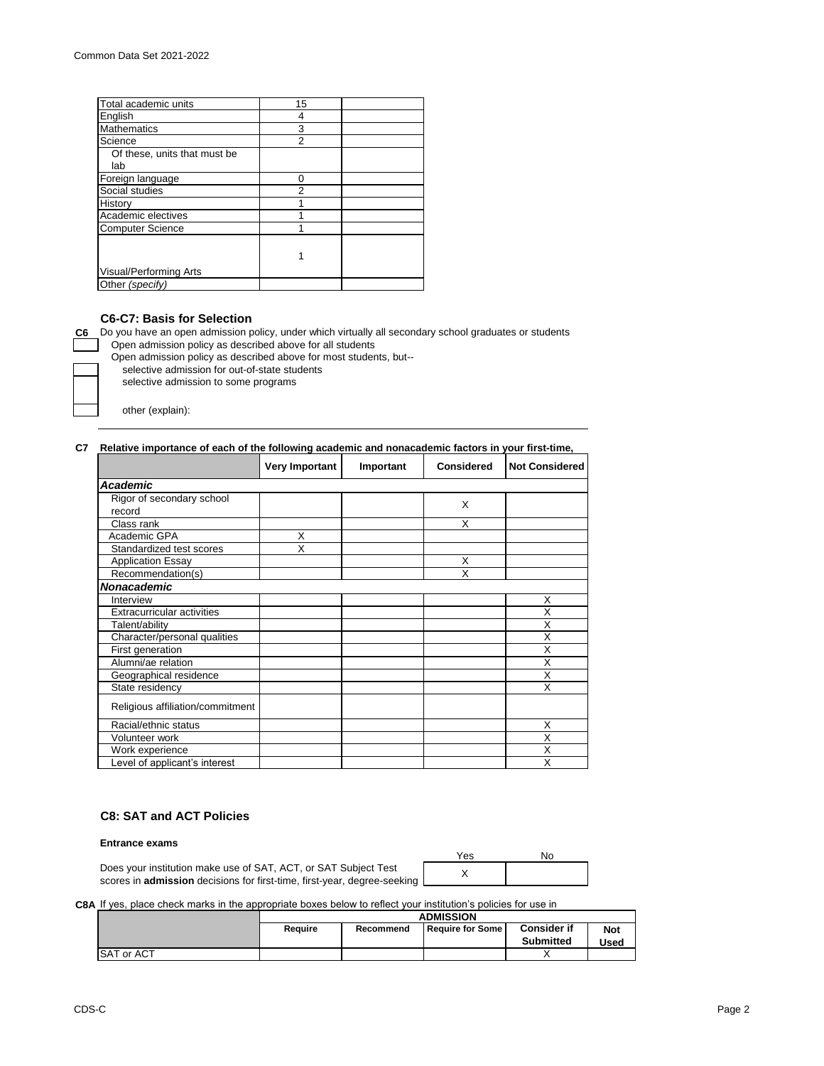| Total academic units         | 15 |  |
|------------------------------|----|--|
| English                      | 4  |  |
| <b>Mathematics</b>           | 3  |  |
| Science                      | 2  |  |
| Of these, units that must be |    |  |
| lab                          |    |  |
| Foreign language             | 0  |  |
| Social studies               | 2  |  |
| History                      |    |  |
| Academic electives           |    |  |
| <b>Computer Science</b>      |    |  |
|                              |    |  |
|                              |    |  |
| Visual/Performing Arts       |    |  |
| Other (specify)              |    |  |

# **C6-C7: Basis for Selection**

**C6** Do you have an open admission policy, under which virtually all secondary school graduates or students Open admission policy as described above for all students

Open admission policy as described above for most students, but--

selective admission for out-of-state students

selective admission to some programs

other (explain):

### **C7 Relative importance of each of the following academic and nonacademic factors in your first-time,**

|                                  | <b>Very Important</b> | Important | <b>Considered</b> | <b>Not Considered</b> |
|----------------------------------|-----------------------|-----------|-------------------|-----------------------|
| Academic                         |                       |           |                   |                       |
| Rigor of secondary school        |                       |           | X                 |                       |
| record                           |                       |           |                   |                       |
| Class rank                       |                       |           | X                 |                       |
| Academic GPA                     | X                     |           |                   |                       |
| Standardized test scores         | X                     |           |                   |                       |
| <b>Application Essay</b>         |                       |           | X                 |                       |
| Recommendation(s)                |                       |           | X                 |                       |
| Nonacademic                      |                       |           |                   |                       |
| Interview                        |                       |           |                   | X                     |
| Extracurricular activities       |                       |           |                   | X                     |
| Talent/ability                   |                       |           |                   | X                     |
| Character/personal qualities     |                       |           |                   | X                     |
| First generation                 |                       |           |                   | X                     |
| Alumni/ae relation               |                       |           |                   | Χ                     |
| Geographical residence           |                       |           |                   | X                     |
| State residency                  |                       |           |                   | X                     |
| Religious affiliation/commitment |                       |           |                   |                       |
| Racial/ethnic status             |                       |           |                   | X                     |
| Volunteer work                   |                       |           |                   | X                     |
| Work experience                  |                       |           |                   | X                     |
| Level of applicant's interest    |                       |           |                   | Χ                     |

# **C8: SAT and ACT Policies**

### **Entrance exams**

Does your institution make use of SAT, ACT, or SAT Subject Test scores in **admission** decisions for first-time, first-year, degree-seeking Yes No X

**C8A** If yes, place check marks in the appropriate boxes below to reflect your institution's policies for use in

|                   | <b>ADMISSION</b> |           |                  |                                        |                    |
|-------------------|------------------|-----------|------------------|----------------------------------------|--------------------|
|                   | Reauire          | Recommend | Require for Some | <b>Consider if</b><br><b>Submitted</b> | <b>Not</b><br>Used |
| <b>SAT or ACT</b> |                  |           |                  |                                        |                    |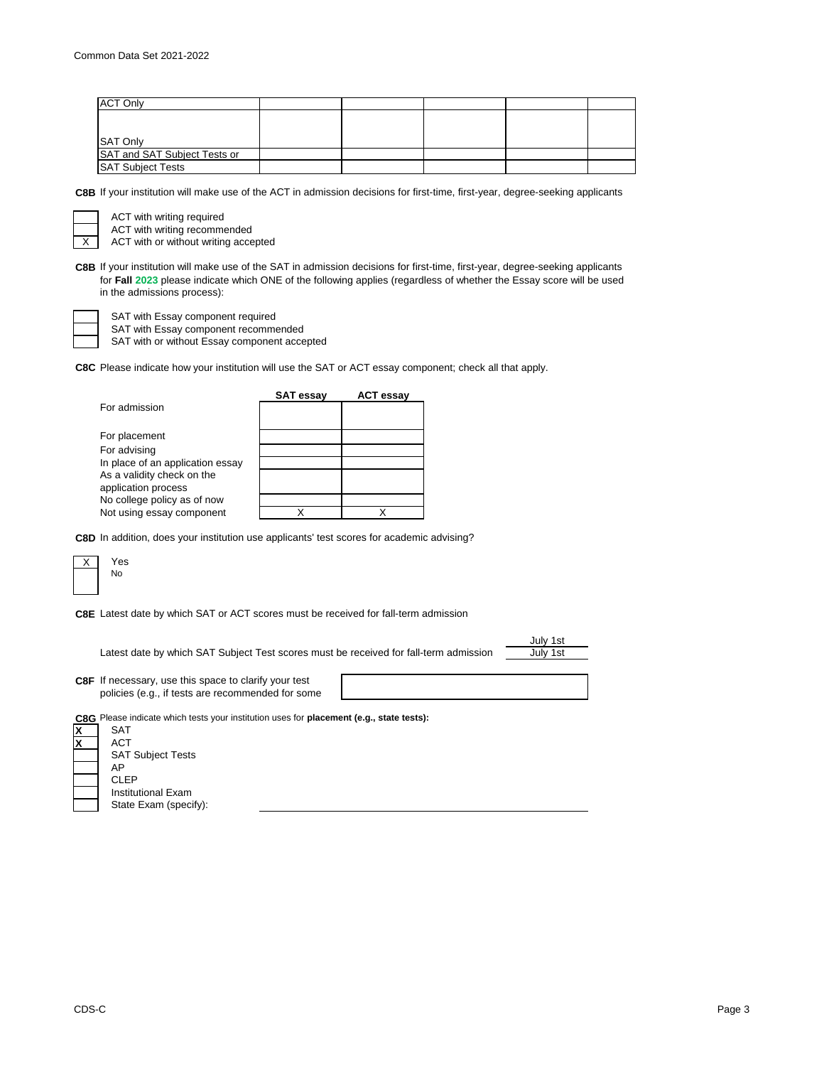| <b>ACT Only</b>              |  |  |  |
|------------------------------|--|--|--|
|                              |  |  |  |
|                              |  |  |  |
| SAT Only                     |  |  |  |
| SAT and SAT Subject Tests or |  |  |  |
| <b>SAT Subject Tests</b>     |  |  |  |

**C8B** If your institution will make use of the ACT in admission decisions for first-time, first-year, degree-seeking applicants

X ACT with writing required

ACT with writing recommended

ACT with or without writing accepted

**C8B** If your institution will make use of the SAT in admission decisions for first-time, first-year, degree-seeking applicants for **Fall 2023** please indicate which ONE of the following applies (regardless of whether the Essay score will be used in the admissions process):

SAT with Essay component required

SAT with Essay component recommended

SAT with or without Essay component accepted

**C8C** Please indicate how your institution will use the SAT or ACT essay component; check all that apply.

|                                  | <b>SAT essav</b> | <b>ACT essay</b> |
|----------------------------------|------------------|------------------|
| For admission                    |                  |                  |
| For placement                    |                  |                  |
| For advising                     |                  |                  |
| In place of an application essay |                  |                  |
| As a validity check on the       |                  |                  |
| application process              |                  |                  |
| No college policy as of now      |                  |                  |
| Not using essay component        |                  |                  |

**C8D** In addition, does your institution use applicants' test scores for academic advising?



**C8E** Latest date by which SAT or ACT scores must be received for fall-term admission

Latest date by which SAT Subject Test scores must be received for fall-term admission

July 1st July 1st

**C8F** If necessary, use this space to clarify your test policies (e.g., if tests are recommended for some

**C8G** Please indicate which tests your institution uses for **placement (e.g., state tests):**

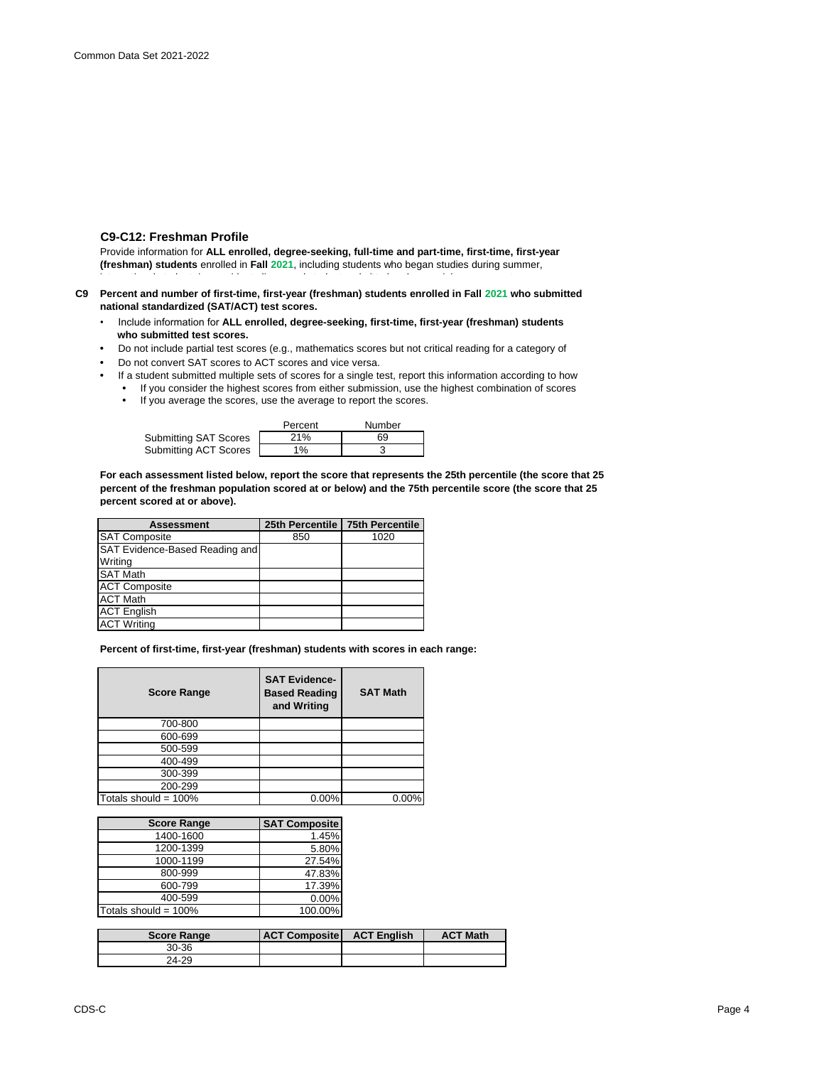## **C9-C12: Freshman Profile**

Provide information for **ALL enrolled, degree-seeking, full-time and part-time, first-time, first-year (freshman) students** enrolled in **Fall 2021**, including students who began studies during summer, international students/nonresident aliens, and students admitted under special arrangements.

- **C9 Percent and number of first-time, first-year (freshman) students enrolled in Fall 2021 who submitted national standardized (SAT/ACT) test scores.**
	- Include information for **ALL enrolled, degree-seeking, first-time, first-year (freshman) students who submitted test scores.**
	- Do not include partial test scores (e.g., mathematics scores but not critical reading for a category of
	- Do not convert SAT scores to ACT scores and vice versa.
	- If a student submitted multiple sets of scores for a single test, report this information according to how
		- If you consider the highest scores from either submission, use the highest combination of scores **•** If you average the scores, use the average to report the scores.
			-

|                       | Percent | Number |
|-----------------------|---------|--------|
| Submitting SAT Scores | 21%     | 69     |
| Submitting ACT Scores | $1\%$   |        |

**For each assessment listed below, report the score that represents the 25th percentile (the score that 25 percent of the freshman population scored at or below) and the 75th percentile score (the score that 25 percent scored at or above).**

|     | <b>75th Percentile</b>                            |
|-----|---------------------------------------------------|
| 850 | 1020                                              |
|     |                                                   |
|     |                                                   |
|     |                                                   |
|     |                                                   |
|     |                                                   |
|     |                                                   |
|     |                                                   |
|     | 25th Percentile<br>SAT Evidence-Based Reading and |

**Percent of first-time, first-year (freshman) students with scores in each range:**

| <b>Score Range</b>      | <b>SAT Evidence-</b><br><b>Based Reading</b><br>and Writing | <b>SAT Math</b> |
|-------------------------|-------------------------------------------------------------|-----------------|
| 700-800                 |                                                             |                 |
| 600-699                 |                                                             |                 |
| 500-599                 |                                                             |                 |
| 400-499                 |                                                             |                 |
| 300-399                 |                                                             |                 |
| 200-299                 |                                                             |                 |
| Totals should = $100\%$ | 0.00%                                                       | 0.00%           |

| <b>Score Range</b>      | <b>SAT Composite</b> |
|-------------------------|----------------------|
| 1400-1600               | 1.45%                |
| 1200-1399               | 5.80%                |
| 1000-1199               | 27.54%               |
| 800-999                 | 47.83%               |
| 600-799                 | 17.39%               |
| 400-599                 | $0.00\%$             |
| Totals should = $100\%$ | 100.00%              |

| <b>Score Range</b> | <b>ACT Composite</b> | <b>ACT English</b> | <b>ACT Math</b> |
|--------------------|----------------------|--------------------|-----------------|
| 30-36              |                      |                    |                 |
| 24-29              |                      |                    |                 |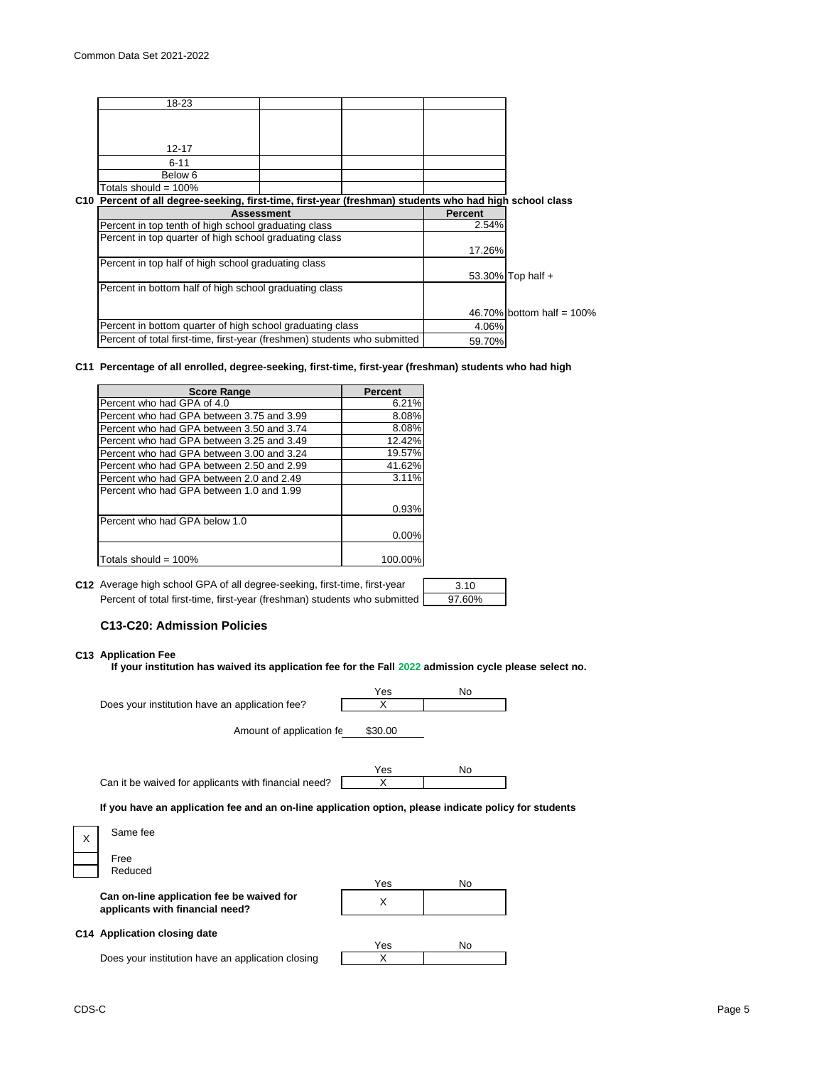high school class rank: the class rank: the class rank: the class rank: the class rank: the class rank: the cla

| 18-23                                                     |                                                                                                         |                |                              |
|-----------------------------------------------------------|---------------------------------------------------------------------------------------------------------|----------------|------------------------------|
|                                                           |                                                                                                         |                |                              |
|                                                           |                                                                                                         |                |                              |
| 12-17                                                     |                                                                                                         |                |                              |
| $6 - 11$                                                  |                                                                                                         |                |                              |
| Below 6                                                   |                                                                                                         |                |                              |
| Totals should = $100\%$                                   |                                                                                                         |                |                              |
|                                                           | C10 Percent of all degree-seeking, first-time, first-year (freshman) students who had high school class |                |                              |
|                                                           | <b>Assessment</b>                                                                                       | <b>Percent</b> |                              |
| Percent in top tenth of high school graduating class      |                                                                                                         | 2.54%          |                              |
| Percent in top quarter of high school graduating class    |                                                                                                         |                |                              |
|                                                           |                                                                                                         | 17.26%         |                              |
| Percent in top half of high school graduating class       |                                                                                                         |                |                              |
|                                                           |                                                                                                         |                | 53.30% Top half +            |
| Percent in bottom half of high school graduating class    |                                                                                                         |                |                              |
|                                                           |                                                                                                         |                | 46.70% bottom half = $100\%$ |
| Percent in bottom quarter of high school graduating class |                                                                                                         | 4.06%          |                              |
|                                                           | Percent of total first-time, first-year (freshmen) students who submitted                               | 59.70%         |                              |

#### **C11 Percentage of all enrolled, degree-seeking, first-time, first-year (freshman) students who had high**

| <b>Score Range</b>                        | <b>Percent</b> |
|-------------------------------------------|----------------|
| Percent who had GPA of 4.0                | 6.21%          |
| Percent who had GPA between 3.75 and 3.99 | 8.08%          |
| Percent who had GPA between 3.50 and 3.74 | 8.08%          |
| Percent who had GPA between 3.25 and 3.49 | 12.42%         |
| Percent who had GPA between 3.00 and 3.24 | 19.57%         |
| Percent who had GPA between 2.50 and 2.99 | 41.62%         |
| Percent who had GPA between 2.0 and 2.49  | 3.11%          |
| Percent who had GPA between 1.0 and 1.99  |                |
|                                           | 0.93%          |
| Percent who had GPA below 1.0             |                |
|                                           | 0.00%          |
| Totals should = $100\%$                   | 100.00%        |

| C12 Average high school GPA of all degree-seeking, first-time, first-year | 3.10   |
|---------------------------------------------------------------------------|--------|
| Percent of total first-time, first-year (freshman) students who submitted | 97.60% |

## **C13-C20: Admission Policies**

# **C13 Application Fee**

**If your institution has waived its application fee for the Fall 2022 admission cycle please select no.**

|   |                                                                                                       | Yes     | No. |  |
|---|-------------------------------------------------------------------------------------------------------|---------|-----|--|
|   | Does your institution have an application fee?                                                        | х       |     |  |
|   | Amount of application fe                                                                              | \$30.00 |     |  |
|   |                                                                                                       | Yes     | No. |  |
|   | Can it be waived for applicants with financial need?                                                  | х       |     |  |
|   | If you have an application fee and an on-line application option, please indicate policy for students |         |     |  |
| X | Same fee                                                                                              |         |     |  |
|   | Free                                                                                                  |         |     |  |
|   | Reduced                                                                                               |         |     |  |

|                                                                              | Yes | No |
|------------------------------------------------------------------------------|-----|----|
| Can on-line application fee be waived for<br>applicants with financial need? |     |    |
| C14 Application closing date                                                 | Yes | N٥ |
| Does your institution have an application closing                            |     |    |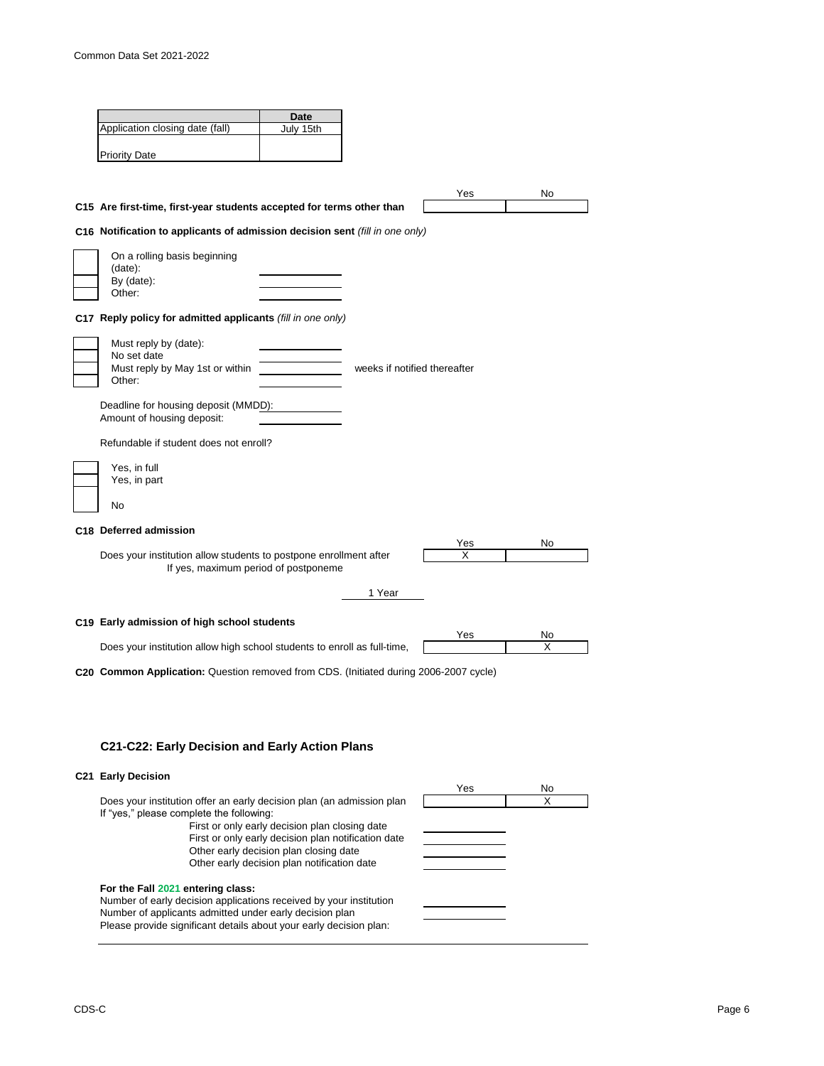| Application closing date (fall)<br>C15 Are first-time, first-year students accepted for terms other than<br>C16 Notification to applicants of admission decision sent (fill in one only)<br>On a rolling basis beginning<br>C17 Reply policy for admitted applicants (fill in one only)<br>Must reply by (date):<br>Must reply by May 1st or within<br>Deadline for housing deposit (MMDD):<br>Amount of housing deposit:<br>Refundable if student does not enroll?<br>C18 Deferred admission<br>Does your institution allow students to postpone enrollment after<br>If yes, maximum period of postponeme | July 15th |                                             | weeks if notified thereafter | Yes                                                                      | No                                                                                           |
|------------------------------------------------------------------------------------------------------------------------------------------------------------------------------------------------------------------------------------------------------------------------------------------------------------------------------------------------------------------------------------------------------------------------------------------------------------------------------------------------------------------------------------------------------------------------------------------------------------|-----------|---------------------------------------------|------------------------------|--------------------------------------------------------------------------|----------------------------------------------------------------------------------------------|
|                                                                                                                                                                                                                                                                                                                                                                                                                                                                                                                                                                                                            |           |                                             |                              |                                                                          |                                                                                              |
|                                                                                                                                                                                                                                                                                                                                                                                                                                                                                                                                                                                                            |           |                                             |                              |                                                                          |                                                                                              |
|                                                                                                                                                                                                                                                                                                                                                                                                                                                                                                                                                                                                            |           |                                             |                              |                                                                          |                                                                                              |
|                                                                                                                                                                                                                                                                                                                                                                                                                                                                                                                                                                                                            |           |                                             |                              |                                                                          |                                                                                              |
|                                                                                                                                                                                                                                                                                                                                                                                                                                                                                                                                                                                                            |           |                                             |                              |                                                                          |                                                                                              |
|                                                                                                                                                                                                                                                                                                                                                                                                                                                                                                                                                                                                            |           |                                             |                              |                                                                          |                                                                                              |
|                                                                                                                                                                                                                                                                                                                                                                                                                                                                                                                                                                                                            |           |                                             |                              |                                                                          |                                                                                              |
|                                                                                                                                                                                                                                                                                                                                                                                                                                                                                                                                                                                                            |           |                                             |                              |                                                                          |                                                                                              |
|                                                                                                                                                                                                                                                                                                                                                                                                                                                                                                                                                                                                            |           |                                             |                              |                                                                          |                                                                                              |
|                                                                                                                                                                                                                                                                                                                                                                                                                                                                                                                                                                                                            |           |                                             |                              |                                                                          |                                                                                              |
|                                                                                                                                                                                                                                                                                                                                                                                                                                                                                                                                                                                                            |           |                                             |                              |                                                                          |                                                                                              |
|                                                                                                                                                                                                                                                                                                                                                                                                                                                                                                                                                                                                            |           |                                             |                              |                                                                          |                                                                                              |
|                                                                                                                                                                                                                                                                                                                                                                                                                                                                                                                                                                                                            |           |                                             |                              |                                                                          |                                                                                              |
|                                                                                                                                                                                                                                                                                                                                                                                                                                                                                                                                                                                                            |           |                                             |                              |                                                                          |                                                                                              |
|                                                                                                                                                                                                                                                                                                                                                                                                                                                                                                                                                                                                            |           |                                             |                              |                                                                          |                                                                                              |
|                                                                                                                                                                                                                                                                                                                                                                                                                                                                                                                                                                                                            |           |                                             |                              |                                                                          |                                                                                              |
|                                                                                                                                                                                                                                                                                                                                                                                                                                                                                                                                                                                                            |           |                                             |                              |                                                                          |                                                                                              |
|                                                                                                                                                                                                                                                                                                                                                                                                                                                                                                                                                                                                            |           |                                             |                              |                                                                          |                                                                                              |
|                                                                                                                                                                                                                                                                                                                                                                                                                                                                                                                                                                                                            |           |                                             |                              |                                                                          |                                                                                              |
|                                                                                                                                                                                                                                                                                                                                                                                                                                                                                                                                                                                                            |           |                                             |                              |                                                                          |                                                                                              |
|                                                                                                                                                                                                                                                                                                                                                                                                                                                                                                                                                                                                            |           |                                             |                              |                                                                          |                                                                                              |
|                                                                                                                                                                                                                                                                                                                                                                                                                                                                                                                                                                                                            |           |                                             |                              | Yes                                                                      | No                                                                                           |
|                                                                                                                                                                                                                                                                                                                                                                                                                                                                                                                                                                                                            |           |                                             |                              | х                                                                        |                                                                                              |
|                                                                                                                                                                                                                                                                                                                                                                                                                                                                                                                                                                                                            |           |                                             |                              |                                                                          |                                                                                              |
|                                                                                                                                                                                                                                                                                                                                                                                                                                                                                                                                                                                                            |           | 1 Year                                      |                              |                                                                          |                                                                                              |
|                                                                                                                                                                                                                                                                                                                                                                                                                                                                                                                                                                                                            |           |                                             |                              |                                                                          |                                                                                              |
|                                                                                                                                                                                                                                                                                                                                                                                                                                                                                                                                                                                                            |           |                                             |                              |                                                                          | No                                                                                           |
|                                                                                                                                                                                                                                                                                                                                                                                                                                                                                                                                                                                                            |           |                                             |                              |                                                                          | X                                                                                            |
|                                                                                                                                                                                                                                                                                                                                                                                                                                                                                                                                                                                                            |           |                                             |                              |                                                                          |                                                                                              |
|                                                                                                                                                                                                                                                                                                                                                                                                                                                                                                                                                                                                            |           |                                             |                              |                                                                          |                                                                                              |
|                                                                                                                                                                                                                                                                                                                                                                                                                                                                                                                                                                                                            |           | C19 Early admission of high school students |                              | Does your institution allow high school students to enroll as full-time, | Yes<br>C20 Common Application: Question removed from CDS. (Initiated during 2006-2007 cycle) |

Other early decision plan closing date Other early decision plan notification date

**For the Fall 2021 entering class:**

Number of early decision applications received by your institution Number of applicants admitted under early decision plan Please provide significant details about your early decision plan: